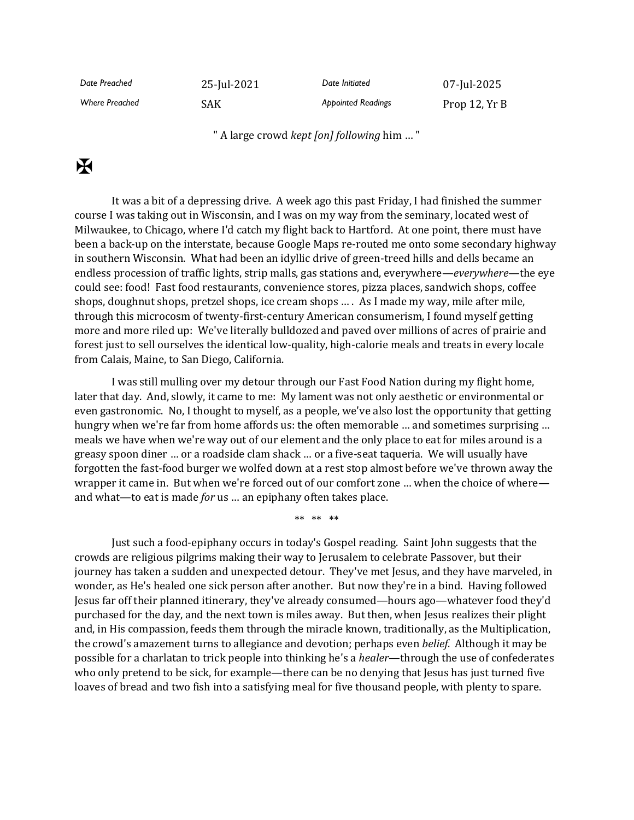| Date Preached         | 25-Jul-2021 | Date Initiated            | 07-Jul-2025   |
|-----------------------|-------------|---------------------------|---------------|
| <b>Where Preached</b> | <b>SAK</b>  | <b>Appointed Readings</b> | Prop 12, Yr B |

" A large crowd *kept [on] following* him … "

## $\mathbf K$

It was a bit of a depressing drive. A week ago this past Friday, I had finished the summer course I was taking out in Wisconsin, and I was on my way from the seminary, located west of Milwaukee, to Chicago, where I'd catch my flight back to Hartford. At one point, there must have been a back-up on the interstate, because Google Maps re-routed me onto some secondary highway in southern Wisconsin. What had been an idyllic drive of green-treed hills and dells became an endless procession of traffic lights, strip malls, gas stations and, everywhere—*everywhere*—the eye could see: food! Fast food restaurants, convenience stores, pizza places, sandwich shops, coffee shops, doughnut shops, pretzel shops, ice cream shops … . As I made my way, mile after mile, through this microcosm of twenty-first-century American consumerism, I found myself getting more and more riled up: We've literally bulldozed and paved over millions of acres of prairie and forest just to sell ourselves the identical low-quality, high-calorie meals and treats in every locale from Calais, Maine, to San Diego, California.

I was still mulling over my detour through our Fast Food Nation during my flight home, later that day. And, slowly, it came to me: My lament was not only aesthetic or environmental or even gastronomic. No, I thought to myself, as a people, we've also lost the opportunity that getting hungry when we're far from home affords us: the often memorable … and sometimes surprising … meals we have when we're way out of our element and the only place to eat for miles around is a greasy spoon diner … or a roadside clam shack … or a five-seat taqueria. We will usually have forgotten the fast-food burger we wolfed down at a rest stop almost before we've thrown away the wrapper it came in. But when we're forced out of our comfort zone … when the choice of where and what—to eat is made *for* us … an epiphany often takes place.

\*\* \*\* \*\*

Just such a food-epiphany occurs in today's Gospel reading. Saint John suggests that the crowds are religious pilgrims making their way to Jerusalem to celebrate Passover, but their journey has taken a sudden and unexpected detour. They've met Jesus, and they have marveled, in wonder, as He's healed one sick person after another. But now they're in a bind. Having followed Jesus far off their planned itinerary, they've already consumed—hours ago—whatever food they'd purchased for the day, and the next town is miles away. But then, when Jesus realizes their plight and, in His compassion, feeds them through the miracle known, traditionally, as the Multiplication, the crowd's amazement turns to allegiance and devotion; perhaps even *belief*. Although it may be possible for a charlatan to trick people into thinking he's a *healer*—through the use of confederates who only pretend to be sick, for example—there can be no denying that Jesus has just turned five loaves of bread and two fish into a satisfying meal for five thousand people, with plenty to spare.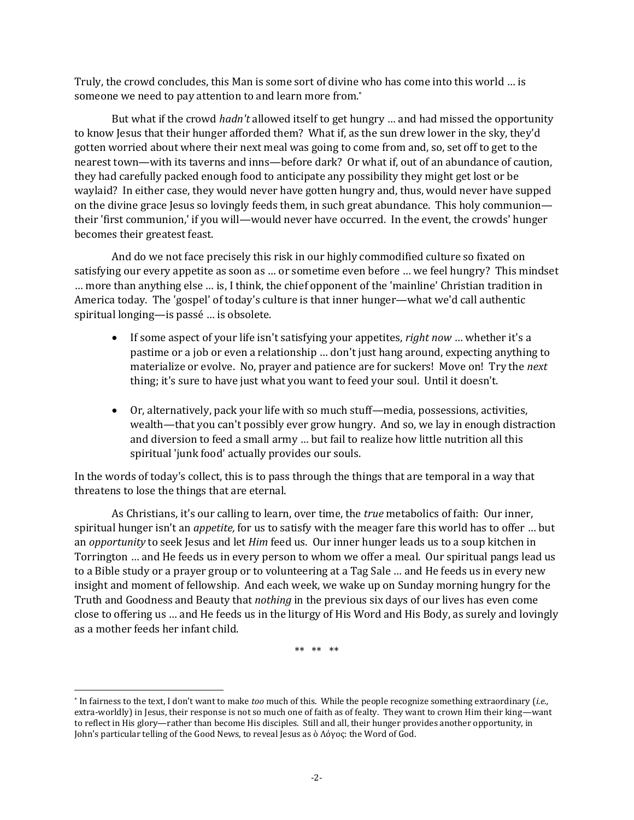Truly, the crowd concludes, this Man is some sort of divine who has come into this world … is someone we need to pay attention to and learn more from.<sup>\*</sup>

But what if the crowd *hadn't* allowed itself to get hungry … and had missed the opportunity to know Jesus that their hunger afforded them? What if, as the sun drew lower in the sky, they'd gotten worried about where their next meal was going to come from and, so, set off to get to the nearest town—with its taverns and inns—before dark? Or what if, out of an abundance of caution, they had carefully packed enough food to anticipate any possibility they might get lost or be waylaid? In either case, they would never have gotten hungry and, thus, would never have supped on the divine grace Jesus so lovingly feeds them, in such great abundance. This holy communion their 'first communion,' if you will—would never have occurred. In the event, the crowds' hunger becomes their greatest feast.

And do we not face precisely this risk in our highly commodified culture so fixated on satisfying our every appetite as soon as … or sometime even before … we feel hungry? This mindset … more than anything else … is, I think, the chief opponent of the 'mainline' Christian tradition in America today. The 'gospel' of today's culture is that inner hunger—what we'd call authentic spiritual longing—is passé … is obsolete.

- If some aspect of your life isn't satisfying your appetites, *right now* … whether it's a pastime or a job or even a relationship … don't just hang around, expecting anything to materialize or evolve. No, prayer and patience are for suckers! Move on! Try the *next* thing; it's sure to have just what you want to feed your soul. Until it doesn't.
- Or, alternatively, pack your life with so much stuff—media, possessions, activities, wealth—that you can't possibly ever grow hungry. And so, we lay in enough distraction and diversion to feed a small army … but fail to realize how little nutrition all this spiritual 'junk food' actually provides our souls.

In the words of today's collect, this is to pass through the things that are temporal in a way that threatens to lose the things that are eternal.

As Christians, it's our calling to learn, over time, the *true* metabolics of faith: Our inner, spiritual hunger isn't an *appetite,* for us to satisfy with the meager fare this world has to offer … but an *opportunity* to seek Jesus and let *Him* feed us. Our inner hunger leads us to a soup kitchen in Torrington … and He feeds us in every person to whom we offer a meal. Our spiritual pangs lead us to a Bible study or a prayer group or to volunteering at a Tag Sale … and He feeds us in every new insight and moment of fellowship. And each week, we wake up on Sunday morning hungry for the Truth and Goodness and Beauty that *nothing* in the previous six days of our lives has even come close to offering us … and He feeds us in the liturgy of His Word and His Body, as surely and lovingly as a mother feeds her infant child.

\*\* \*\* \*\*

<sup>\*</sup> In fairness to the text, I don't want to make *too* much of this. While the people recognize something extraordinary (*i.e.,* extra-worldly) in Jesus, their response is not so much one of faith as of fealty. They want to crown Him their king—want to reflect in His glory—rather than become His disciples. Still and all, their hunger provides another opportunity, in John's particular telling of the Good News, to reveal Jesus as ὁ Λόγος: the Word of God.